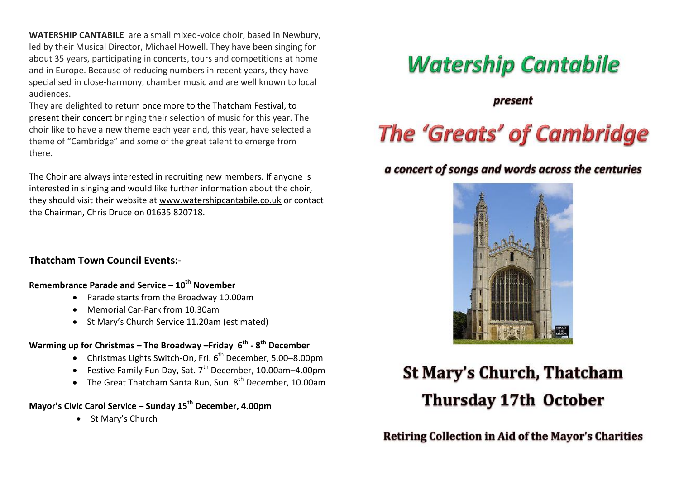**WATERSHIP CANTABILE** are a small mixed-voice choir, based in Newbury, led by their Musical Director, Michael Howell. They have been singing for about 35 years, participating in concerts, tours and competitions at home and in Europe. Because of reducing numbers in recent years, they have specialised in close-harmony, chamber music and are well known to local audiences.

They are delighted to return once more to the Thatcham Festival, to present their concert bringing their selection of music for this year. The choir like to have a new theme each year and, this year, have selected a theme of "Cambridge" and some of the great talent to emerge from there.

The Choir are always interested in recruiting new members. If anyone is interested in singing and would like further information about the choir, they should visit their website at [www.watershipcantabile.co.uk](http://www.watershipcantabile.co.uk/) or contact the Chairman, Chris Druce on 01635 820718.

### **Thatcham Town Council Events:-**

#### **Remembrance Parade and Service – 10th November**

- Parade starts from the Broadway 10.00am
- Memorial Car-Park from 10.30am
- St Mary's Church Service 11.20am (estimated)

#### **Warming up for Christmas – The Broadway –Friday 6 th - 8 th December**

- Christmas Lights Switch-On, Fri. 6<sup>th</sup> December, 5.00–8.00pm
- **•** Festive Family Fun Day, Sat.  $7<sup>th</sup>$  December, 10.00am-4.00pm
- $\bullet$  The Great Thatcham Santa Run, Sun.  $8^{th}$  December, 10.00am

### **Mayor's Civic Carol Service – Sunday 15th December, 4.00pm**

• St Mary's Church

## **Watership Cantabile**

present

# **The 'Greats' of Cambridge**

### a concert of songs and words across the centuries



### **St Mary's Church, Thatcham Thursday 17th October**

Retiring Collection in Aid of the Mayor's Charities